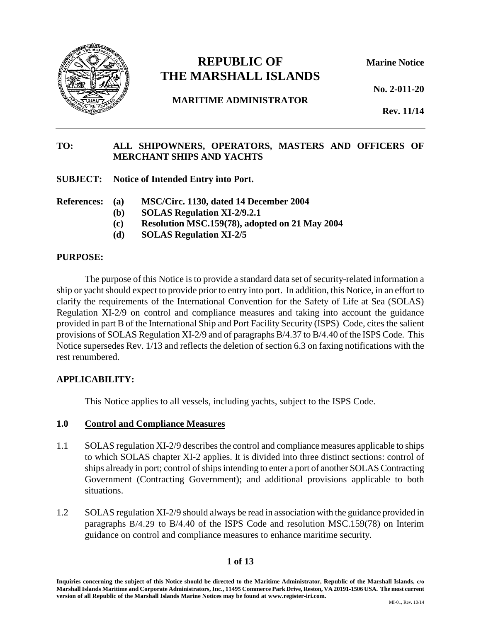

# **REPUBLIC OF Marine Notice THE MARSHALL ISLANDS**

**No. 2-011-20**

**MARITIME ADMINISTRATOR**

**Rev. 11/14**

# **TO: ALL SHIPOWNERS, OPERATORS, MASTERS AND OFFICERS OF MERCHANT SHIPS AND YACHTS**

**SUBJECT: Notice of Intended Entry into Port.**

- **References: (a) MSC/Circ. 1130, dated 14 December 2004**
	- **(b) SOLAS Regulation XI-2/9.2.1**
	- **(c) Resolution MSC.159(78), adopted on 21 May 2004**
	- **(d) SOLAS Regulation XI-2/5**

### **PURPOSE:**

The purpose of this Notice is to provide a standard data set of security-related information a ship or yacht should expect to provide prior to entry into port. In addition, this Notice, in an effort to clarify the requirements of the International Convention for the Safety of Life at Sea (SOLAS) Regulation XI-2/9 on control and compliance measures and taking into account the guidance provided in part B of the International Ship and Port Facility Security (ISPS) Code, cites the salient provisions of SOLAS Regulation XI-2/9 and of paragraphs B/4.37 to B/4.40 of the ISPS Code. This Notice supersedes Rev. 1/13 and reflects the deletion of section 6.3 on faxing notifications with the rest renumbered.

# **APPLICABILITY:**

This Notice applies to all vessels, including yachts, subject to the ISPS Code.

#### **1.0 Control and Compliance Measures**

- 1.1 SOLAS regulation XI-2/9 describes the control and compliance measures applicable to ships to which SOLAS chapter XI-2 applies. It is divided into three distinct sections: control of ships already in port; control of ships intending to enter a port of another SOLAS Contracting Government (Contracting Government); and additional provisions applicable to both situations.
- 1.2 SOLAS regulation XI-2/9 should always be read in association with the guidance provided in paragraphs B/4.29 to B/4.40 of the ISPS Code and resolution MSC.159(78) on Interim guidance on control and compliance measures to enhance maritime security.

# **1 of 13**

**Inquiries concerning the subject of this Notice should be directed to the Maritime Administrator, Republic of the Marshall Islands, c/o Marshall Islands Maritime and Corporate Administrators, Inc., 11495 Commerce Park Drive, Reston, VA 20191-1506 USA. The most current version of all Republic of the Marshall Islands Marine Notices may be found at www.register-iri.com.**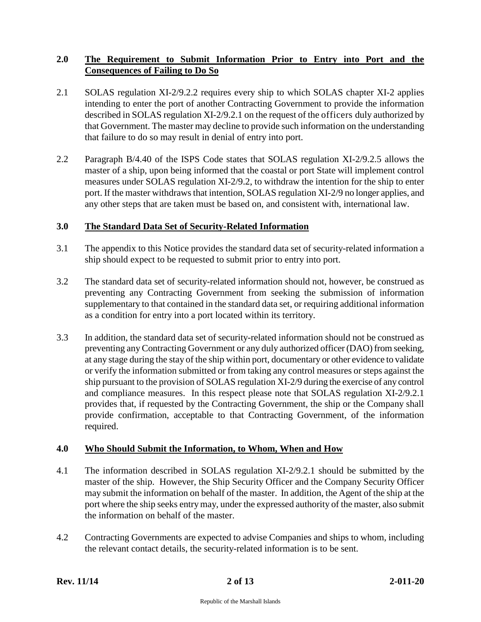# **2.0 The Requirement to Submit Information Prior to Entry into Port and the Consequences of Failing to Do So**

- 2.1 SOLAS regulation XI-2/9.2.2 requires every ship to which SOLAS chapter XI-2 applies intending to enter the port of another Contracting Government to provide the information described in SOLAS regulation XI-2/9.2.1 on the request of the officers duly authorized by that Government. The master may decline to provide such information on the understanding that failure to do so may result in denial of entry into port.
- 2.2 Paragraph B/4.40 of the ISPS Code states that SOLAS regulation XI-2/9.2.5 allows the master of a ship, upon being informed that the coastal or port State will implement control measures under SOLAS regulation XI-2/9.2, to withdraw the intention for the ship to enter port. If the master withdraws that intention, SOLAS regulation XI-2/9 no longer applies, and any other steps that are taken must be based on, and consistent with, international law.

### **3.0 The Standard Data Set of Security-Related Information**

- 3.1 The appendix to this Notice provides the standard data set of security-related information a ship should expect to be requested to submit prior to entry into port.
- 3.2 The standard data set of security-related information should not, however, be construed as preventing any Contracting Government from seeking the submission of information supplementary to that contained in the standard data set, or requiring additional information as a condition for entry into a port located within its territory.
- 3.3 In addition, the standard data set of security-related information should not be construed as preventing any Contracting Government or any duly authorized officer (DAO) from seeking, at any stage during the stay of the ship within port, documentary or other evidence to validate or verify the information submitted or from taking any control measures or steps against the ship pursuant to the provision of SOLAS regulation XI-2/9 during the exercise of any control and compliance measures. In this respect please note that SOLAS regulation XI-2/9.2.1 provides that, if requested by the Contracting Government, the ship or the Company shall provide confirmation, acceptable to that Contracting Government, of the information required.

#### **4.0 Who Should Submit the Information, to Whom, When and How**

- 4.1 The information described in SOLAS regulation XI-2/9.2.1 should be submitted by the master of the ship. However, the Ship Security Officer and the Company Security Officer may submit the information on behalf of the master. In addition, the Agent of the ship at the port where the ship seeks entry may, under the expressed authority of the master, also submit the information on behalf of the master.
- 4.2 Contracting Governments are expected to advise Companies and ships to whom, including the relevant contact details, the security-related information is to be sent.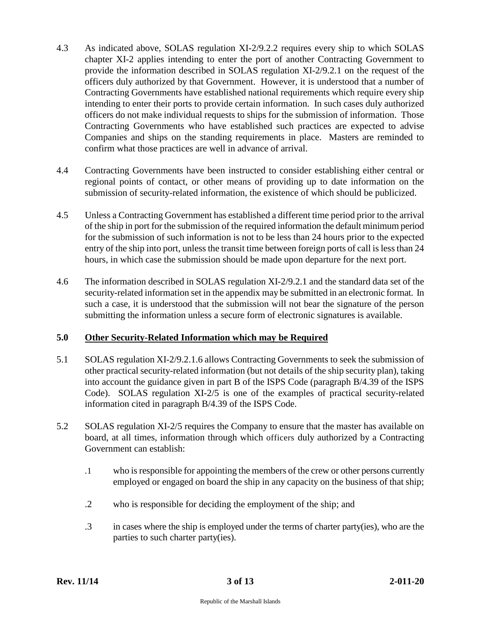- 4.3 As indicated above, SOLAS regulation XI-2/9.2.2 requires every ship to which SOLAS chapter XI-2 applies intending to enter the port of another Contracting Government to provide the information described in SOLAS regulation XI-2/9.2.1 on the request of the officers duly authorized by that Government. However, it is understood that a number of Contracting Governments have established national requirements which require every ship intending to enter their ports to provide certain information. In such cases duly authorized officers do not make individual requests to ships for the submission of information. Those Contracting Governments who have established such practices are expected to advise Companies and ships on the standing requirements in place. Masters are reminded to confirm what those practices are well in advance of arrival.
- 4.4 Contracting Governments have been instructed to consider establishing either central or regional points of contact, or other means of providing up to date information on the submission of security-related information, the existence of which should be publicized.
- 4.5 Unless a Contracting Government has established a different time period prior to the arrival of the ship in port for the submission of the required information the default minimum period for the submission of such information is not to be less than 24 hours prior to the expected entry of the ship into port, unless the transit time between foreign ports of call is less than 24 hours, in which case the submission should be made upon departure for the next port.
- 4.6 The information described in SOLAS regulation XI-2/9.2.1 and the standard data set of the security-related information set in the appendix may be submitted in an electronic format. In such a case, it is understood that the submission will not bear the signature of the person submitting the information unless a secure form of electronic signatures is available.

#### **5.0 Other Security-Related Information which may be Required**

- 5.1 SOLAS regulation XI-2/9.2.1.6 allows Contracting Governments to seek the submission of other practical security-related information (but not details of the ship security plan), taking into account the guidance given in part B of the ISPS Code (paragraph B/4.39 of the ISPS Code). SOLAS regulation XI-2/5 is one of the examples of practical security-related information cited in paragraph B/4.39 of the ISPS Code.
- 5.2 SOLAS regulation XI-2/5 requires the Company to ensure that the master has available on board, at all times, information through which officers duly authorized by a Contracting Government can establish:
	- .1 who is responsible for appointing the members of the crew or other persons currently employed or engaged on board the ship in any capacity on the business of that ship;
	- .2 who is responsible for deciding the employment of the ship; and
	- .3 in cases where the ship is employed under the terms of charter party(ies), who are the parties to such charter party(ies).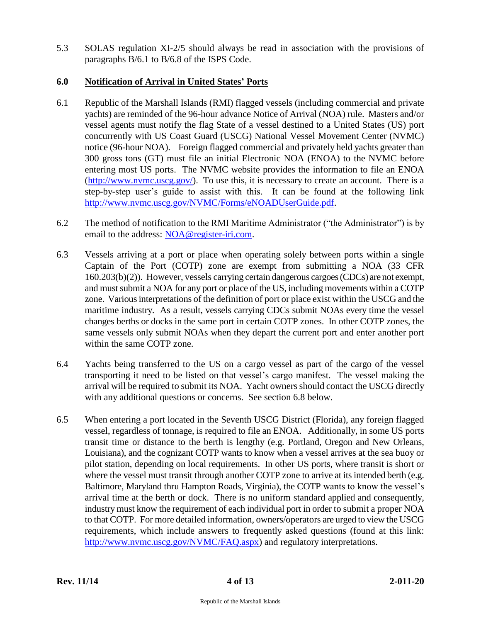5.3 SOLAS regulation XI-2/5 should always be read in association with the provisions of paragraphs B/6.1 to B/6.8 of the ISPS Code.

# **6.0 Notification of Arrival in United States' Ports**

- 6.1 Republic of the Marshall Islands (RMI) flagged vessels (including commercial and private yachts) are reminded of the 96-hour advance Notice of Arrival (NOA) rule. Masters and/or vessel agents must notify the flag State of a vessel destined to a United States (US) port concurrently with US Coast Guard (USCG) National Vessel Movement Center (NVMC) notice (96-hour NOA). Foreign flagged commercial and privately held yachts greater than 300 gross tons (GT) must file an initial Electronic NOA (ENOA) to the NVMC before entering most US ports. The NVMC website provides the information to file an ENOA  $(\frac{http://www.nvmc.uscg.gov/}{http://www.nvmc.uscg.gov/}{\cdot}$ . To use this, it is necessary to create an account. There is a step-by-step user's guide to assist with this. It can be found at the following link [http://www.nvmc.uscg.gov/NVMC/Forms/eNOADUserGuide.pdf.](http://www.nvmc.uscg.gov/NVMC/Forms/eNOADUserGuide.pdf)
- 6.2 The method of notification to the RMI Maritime Administrator ("the Administrator") is by email to the address: [NOA@register-iri.com.](mailto:NOA@register-iri.com)
- 6.3 Vessels arriving at a port or place when operating solely between ports within a single Captain of the Port (COTP) zone are exempt from submitting a NOA (33 CFR 160.203(b)(2)). However, vessels carrying certain dangerous cargoes (CDCs) are not exempt, and must submit a NOA for any port or place of the US, including movements within a COTP zone. Various interpretations of the definition of port or place exist within the USCG and the maritime industry. As a result, vessels carrying CDCs submit NOAs every time the vessel changes berths or docks in the same port in certain COTP zones. In other COTP zones, the same vessels only submit NOAs when they depart the current port and enter another port within the same COTP zone.
- 6.4 Yachts being transferred to the US on a cargo vessel as part of the cargo of the vessel transporting it need to be listed on that vessel's cargo manifest. The vessel making the arrival will be required to submit its NOA. Yacht owners should contact the USCG directly with any additional questions or concerns. See section 6.8 below.
- 6.5 When entering a port located in the Seventh USCG District (Florida), any foreign flagged vessel, regardless of tonnage, is required to file an ENOA. Additionally, in some US ports transit time or distance to the berth is lengthy (e.g. Portland, Oregon and New Orleans, Louisiana), and the cognizant COTP wants to know when a vessel arrives at the sea buoy or pilot station, depending on local requirements. In other US ports, where transit is short or where the vessel must transit through another COTP zone to arrive at its intended berth (e.g. Baltimore, Maryland thru Hampton Roads, Virginia), the COTP wants to know the vessel's arrival time at the berth or dock. There is no uniform standard applied and consequently, industry must know the requirement of each individual port in order to submit a proper NOA to that COTP. For more detailed information, owners/operators are urged to view the USCG requirements, which include answers to frequently asked questions (found at this link: [http://www.nvmc.uscg.gov/NVMC/FAQ.aspx\)](http://www.nvmc.uscg.gov/NVMC/FAQ.aspx) and regulatory interpretations.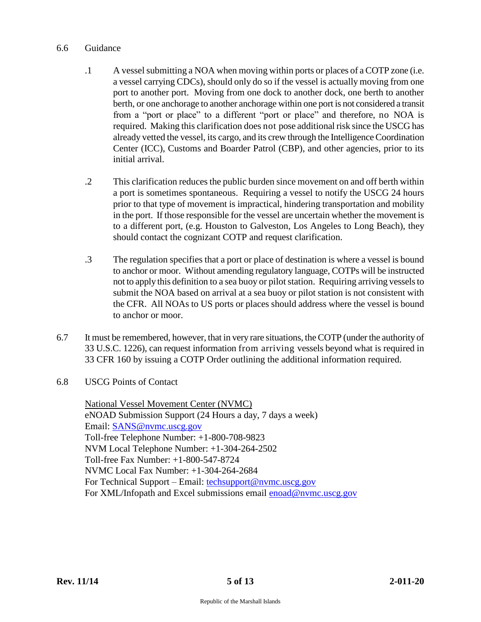#### 6.6 Guidance

- .1 A vessel submitting a NOA when moving within ports or places of a COTP zone (i.e. a vessel carrying CDCs), should only do so if the vessel is actually moving from one port to another port. Moving from one dock to another dock, one berth to another berth, or one anchorage to another anchorage within one port is not considered a transit from a "port or place" to a different "port or place" and therefore, no NOA is required. Making this clarification does not pose additional risk since the USCG has already vetted the vessel, its cargo, and its crew through the Intelligence Coordination Center (ICC), Customs and Boarder Patrol (CBP), and other agencies, prior to its initial arrival.
- .2 This clarification reduces the public burden since movement on and off berth within a port is sometimes spontaneous. Requiring a vessel to notify the USCG 24 hours prior to that type of movement is impractical, hindering transportation and mobility in the port. If those responsible for the vessel are uncertain whether the movement is to a different port, (e.g. Houston to Galveston, Los Angeles to Long Beach), they should contact the cognizant COTP and request clarification.
- .3 The regulation specifies that a port or place of destination is where a vessel is bound to anchor or moor. Without amending regulatory language, COTPs will be instructed not to apply this definition to a sea buoy or pilot station. Requiring arriving vessels to submit the NOA based on arrival at a sea buoy or pilot station is not consistent with the CFR. All NOAs to US ports or places should address where the vessel is bound to anchor or moor.
- 6.7 It must be remembered, however, that in very rare situations, the COTP (under the authority of 33 U.S.C. 1226), can request information from arriving vessels beyond what is required in 33 CFR 160 by issuing a COTP Order outlining the additional information required.
- 6.8 USCG Points of Contact

National Vessel Movement Center (NVMC) eNOAD Submission Support (24 Hours a day, 7 days a week) Email: [SANS@nvmc.uscg.gov](mailto:SANS@nvmc.uscg.gov) Toll-free Telephone Number: +1-800-708-9823 NVM Local Telephone Number: +1-304-264-2502 Toll-free Fax Number: +1-800-547-8724 NVMC Local Fax Number: +1-304-264-2684 For Technical Support – Email: [techsupport@nvmc.uscg.gov](mailto:techsupport@nvmc.uscg.gov) For XML/Infopath and Excel submissions email enoad@nymc.uscg.gov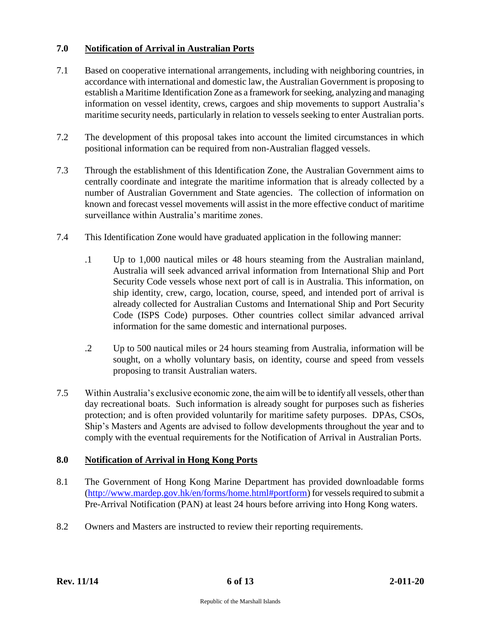# **7.0 Notification of Arrival in Australian Ports**

- 7.1 Based on cooperative international arrangements, including with neighboring countries, in accordance with international and domestic law, the Australian Government is proposing to establish a Maritime Identification Zone as a framework for seeking, analyzing and managing information on vessel identity, crews, cargoes and ship movements to support Australia's maritime security needs, particularly in relation to vessels seeking to enter Australian ports.
- 7.2 The development of this proposal takes into account the limited circumstances in which positional information can be required from non-Australian flagged vessels.
- 7.3 Through the establishment of this Identification Zone, the Australian Government aims to centrally coordinate and integrate the maritime information that is already collected by a number of Australian Government and State agencies. The collection of information on known and forecast vessel movements will assist in the more effective conduct of maritime surveillance within Australia's maritime zones.
- 7.4 This Identification Zone would have graduated application in the following manner:
	- .1 Up to 1,000 nautical miles or 48 hours steaming from the Australian mainland, Australia will seek advanced arrival information from International Ship and Port Security Code vessels whose next port of call is in Australia. This information, on ship identity, crew, cargo, location, course, speed, and intended port of arrival is already collected for Australian Customs and International Ship and Port Security Code (ISPS Code) purposes. Other countries collect similar advanced arrival information for the same domestic and international purposes.
	- .2 Up to 500 nautical miles or 24 hours steaming from Australia, information will be sought, on a wholly voluntary basis, on identity, course and speed from vessels proposing to transit Australian waters.
- 7.5 Within Australia's exclusive economic zone, the aim will be to identify all vessels, other than day recreational boats. Such information is already sought for purposes such as fisheries protection; and is often provided voluntarily for maritime safety purposes. DPAs, CSOs, Ship's Masters and Agents are advised to follow developments throughout the year and to comply with the eventual requirements for the Notification of Arrival in Australian Ports.

# **8.0 Notification of Arrival in Hong Kong Ports**

- 8.1 The Government of Hong Kong Marine Department has provided downloadable forms [\(http://www.mardep.gov.hk/en/forms/home.html#portform\)](http://www.mardep.gov.hk/en/forms/home.html#portform) for vessels required to submit a Pre-Arrival Notification (PAN) at least 24 hours before arriving into Hong Kong waters.
- 8.2 Owners and Masters are instructed to review their reporting requirements.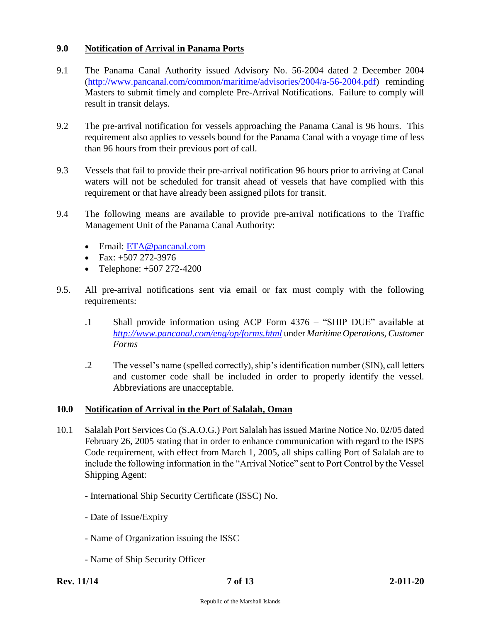### **9.0 Notification of Arrival in Panama Ports**

- 9.1 The Panama Canal Authority issued Advisory No. 56-2004 dated 2 December 2004 [\(http://www.pancanal.com/common/maritime/advisories/2004/a-56-2004.pdf\)](http://www.pancanal.com/common/maritime/advisories/2004/a-56-2004.pdf) reminding Masters to submit timely and complete Pre-Arrival Notifications. Failure to comply will result in transit delays.
- 9.2 The pre-arrival notification for vessels approaching the Panama Canal is 96 hours. This requirement also applies to vessels bound for the Panama Canal with a voyage time of less than 96 hours from their previous port of call.
- 9.3 Vessels that fail to provide their pre-arrival notification 96 hours prior to arriving at Canal waters will not be scheduled for transit ahead of vessels that have complied with this requirement or that have already been assigned pilots for transit.
- 9.4 The following means are available to provide pre-arrival notifications to the Traffic Management Unit of the Panama Canal Authority:
	- Email: [ETA@pancanal.com](mailto:ETA@pancanal.com)
	- Fax:  $+50722-3976$
	- Telephone:  $+507 272 4200$
- 9.5. All pre-arrival notifications sent via email or fax must comply with the following requirements:
	- .1 Shall provide information using ACP Form 4376 "SHIP DUE" available at *<http://www.pancanal.com/eng/op/forms.html>* under *Maritime Operations, Customer Forms*
	- .2 The vessel's name (spelled correctly), ship's identification number (SIN), call letters and customer code shall be included in order to properly identify the vessel. Abbreviations are unacceptable.

#### **10.0 Notification of Arrival in the Port of Salalah, Oman**

- 10.1 Salalah Port Services Co (S.A.O.G.) Port Salalah has issued Marine Notice No. 02/05 dated February 26, 2005 stating that in order to enhance communication with regard to the ISPS Code requirement, with effect from March 1, 2005, all ships calling Port of Salalah are to include the following information in the "Arrival Notice" sent to Port Control by the Vessel Shipping Agent:
	- International Ship Security Certificate (ISSC) No.
	- Date of Issue/Expiry
	- Name of Organization issuing the ISSC
	- Name of Ship Security Officer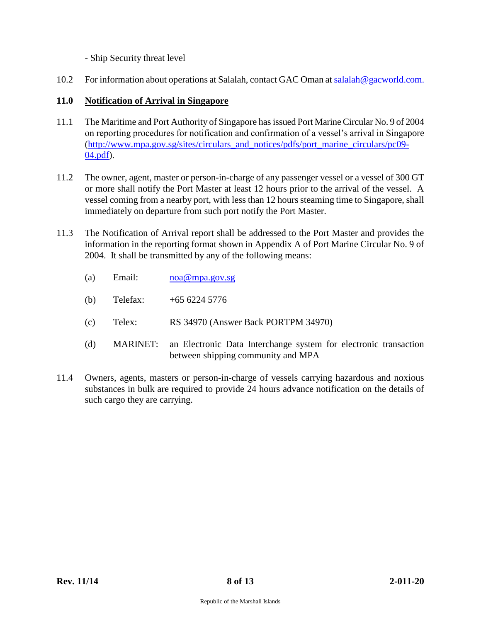- Ship Security threat level

10.2 For information about operations at Salalah, contact GAC Oman at [salalah@gacworld.com.](mailto:salalah@gacworld.com)

# **11.0 Notification of Arrival in Singapore**

- 11.1 The Maritime and Port Authority of Singapore has issued Port Marine Circular No. 9 of 2004 on reporting procedures for notification and confirmation of a vessel's arrival in Singapore [\(http://www.mpa.gov.sg/sites/circulars\\_and\\_notices/pdfs/port\\_marine\\_circulars/pc09-](http://www.mpa.gov.sg/sites/circulars_and_notices/pdfs/port_marine_circulars/pc09-04.pdf) [04.pdf\)](http://www.mpa.gov.sg/sites/circulars_and_notices/pdfs/port_marine_circulars/pc09-04.pdf).
- 11.2 The owner, agent, master or person-in-charge of any passenger vessel or a vessel of 300 GT or more shall notify the Port Master at least 12 hours prior to the arrival of the vessel. A vessel coming from a nearby port, with less than 12 hours steaming time to Singapore, shall immediately on departure from such port notify the Port Master.
- 11.3 The Notification of Arrival report shall be addressed to the Port Master and provides the information in the reporting format shown in Appendix A of Port Marine Circular No. 9 of 2004. It shall be transmitted by any of the following means:
	- (a) Email: [noa@mpa.gov.sg](mailto:noa@mpa.gov.sg)
	- (b) Telefax: +65 6224 5776
	- (c) Telex: RS 34970 (Answer Back PORTPM 34970)
	- (d) MARINET: an Electronic Data Interchange system for electronic transaction between shipping community and MPA
- 11.4 Owners, agents, masters or person-in-charge of vessels carrying hazardous and noxious substances in bulk are required to provide 24 hours advance notification on the details of such cargo they are carrying.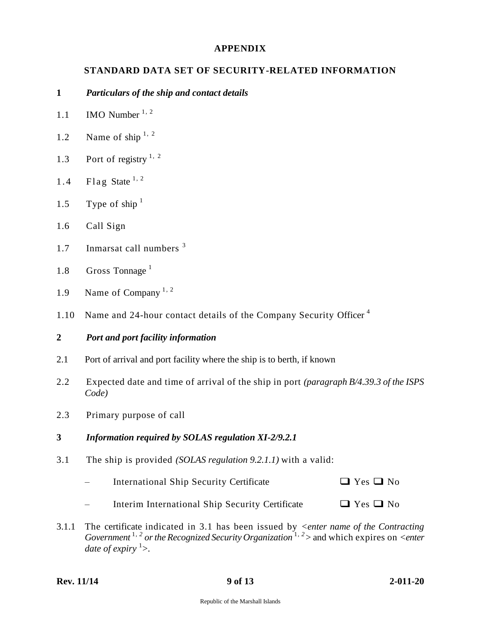### **APPENDIX**

### **STANDARD DATA SET OF SECURITY-RELATED INFORMATION**

#### **1** *Particulars of the ship and contact details*

- 1.1 IMO Number  $1, 2$
- 1.2 Name of ship  $1, 2$
- 1.3 Port of registry  $1, 2$
- 1.4 Flag State  $1, 2$
- 1.5 Type of ship  $1$
- 1.6 Call Sign
- 1.7 Inmarsat call numbers <sup>3</sup>
- 1.8 Gross Tonnage<sup>1</sup>
- 1.9 Name of Company  $1, 2$
- 1.10 Name and 24-hour contact details of the Company Security Officer<sup>4</sup>

#### **2** *Port and port facility information*

- 2.1 Port of arrival and port facility where the ship is to berth, if known
- 2.2 Expected date and time of arrival of the ship in port *(paragraph B/4.39.3 of the ISPS Code)*
- 2.3 Primary purpose of call

#### **3** *Information required by SOLAS regulation XI-2/9.2.1*

- 3.1 The ship is provided *(SOLAS regulation 9.2.1.1)* with a valid:
	- $\Box$  International Ship Security Certificate  $\Box$  Yes  $\Box$  No
	- Interim International Ship Security Certificate  $\Box$  Yes  $\Box$  No
- 3.1.1 The certificate indicated in 3.1 has been issued by *<enter name of the Contracting Government* 1, *<sup>2</sup>or the Recognized Security Organization* 1, *<sup>2</sup>>* and which expires on *<enter*  date of expiry <sup>1</sup>>.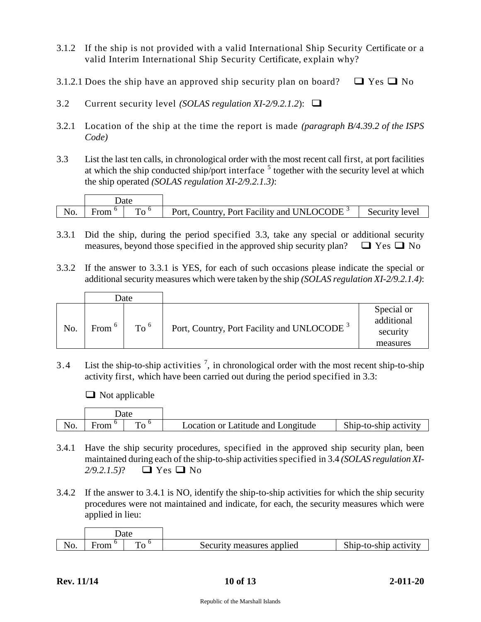- 3.1.2 If the ship is not provided with a valid International Ship Security Certificate or a valid Interim International Ship Security Certificate, explain why?
- 3.1.2.1 Does the ship have an approved ship security plan on board?  $\Box$  Yes  $\Box$  No
- 3.2 Current security level *(SOLAS regulation XI-2/9.2.1.2*):
- 3.2.1 Location of the ship at the time the report is made *(paragraph B/4.39.2 of the ISPS Code)*
- 3.3 List the last ten calls, in chronological order with the most recent call first, at port facilities at which the ship conducted ship/port interface  $5$  together with the security level at which the ship operated *(SOLAS regulation XI-2/9.2.1.3)*:

|     | Jate |              |                                                        |                |
|-----|------|--------------|--------------------------------------------------------|----------------|
| No. | From | $T_{\Omega}$ | Port, Country, Port Facility and UNLOCODE <sup>3</sup> | Security level |

- 3.3.1 Did the ship, during the period specified 3.3, take any special or additional security measures, beyond those specified in the approved ship security plan?  $\Box$  Yes  $\Box$  No
- 3.3.2 If the answer to 3.3.1 is YES, for each of such occasions please indicate the special or additional security measures which were taken by the ship *(SOLAS regulation XI-2/9.2.1.4)*:

|     | Date     |          |                                                        |                                                  |
|-----|----------|----------|--------------------------------------------------------|--------------------------------------------------|
| No. | From $6$ | To $6\,$ | Port, Country, Port Facility and UNLOCODE <sup>3</sup> | Special or<br>additional<br>security<br>measures |

3.4 List the ship-to-ship activities  $\frac{7}{1}$ , in chronological order with the most recent ship-to-ship activity first, which have been carried out during the period specified in 3.3:

 $\Box$  Not applicable

|              | Jate |              |                                    |                       |
|--------------|------|--------------|------------------------------------|-----------------------|
| $N_{\Omega}$ |      | $\mathbf{r}$ | Location or Latitude and Longitude | Ship-to-ship activity |

- 3.4.1 Have the ship security procedures, specified in the approved ship security plan, been maintained during each of the ship-to-ship activities specified in 3.4 *(SOLAS regulation XI-2/9.2.1.5)*? □ Yes □ No
- 3.4.2 If the answer to 3.4.1 is NO, identify the ship-to-ship activities for which the ship security procedures were not maintained and indicate, for each, the security measures which were applied in lieu:

| Jate |   |                           |                       |
|------|---|---------------------------|-----------------------|
|      | m | Security measures applied | Ship-to-ship activity |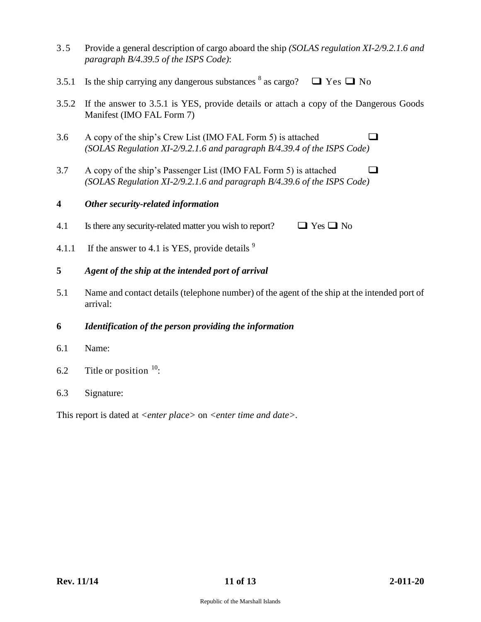- 3.5 Provide a general description of cargo aboard the ship *(SOLAS regulation XI-2/9.2.1.6 and paragraph B/4.39.5 of the ISPS Code)*:
- 3.5.1 Is the ship carrying any dangerous substances  $8$  as cargo?  $\Box$  Yes  $\Box$  No
- 3.5.2 If the answer to 3.5.1 is YES, provide details or attach a copy of the Dangerous Goods Manifest (IMO FAL Form 7)
- 3.6 A copy of the ship's Crew List (IMO FAL Form 5) is attached  $\square$ *(SOLAS Regulation XI-2/9.2.1.6 and paragraph B/4.39.4 of the ISPS Code)*
- 3.7 A copy of the ship's Passenger List (IMO FAL Form 5) is attached  $\square$ *(SOLAS Regulation XI-2/9.2.1.6 and paragraph B/4.39.6 of the ISPS Code)*

#### **4** *Other security-related information*

4.1 Is there any security-related matter you wish to report?  $\Box$  Yes  $\Box$  No

- 4.1.1 If the answer to 4.1 is YES, provide details  $9$
- **5** *Agent of the ship at the intended port of arrival*
- 5.1 Name and contact details (telephone number) of the agent of the ship at the intended port of arrival:

#### **6** *Identification of the person providing the information*

- 6.1 Name:
- 6.2 Title or position  $10$ :
- 6.3 Signature:

This report is dated at *<enter place>* on *<enter time and date>.*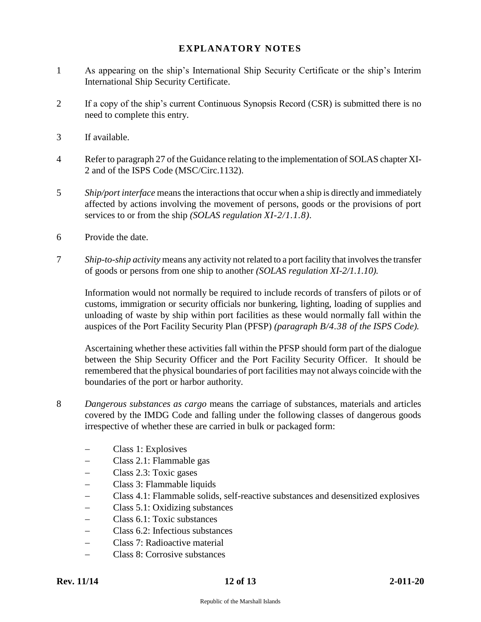# **EXPLANATORY NOTES**

- 1 As appearing on the ship's International Ship Security Certificate or the ship's Interim International Ship Security Certificate.
- 2 If a copy of the ship's current Continuous Synopsis Record (CSR) is submitted there is no need to complete this entry.
- 3 If available.
- 4 Refer to paragraph 27 of the Guidance relating to the implementation of SOLAS chapter XI-2 and of the ISPS Code (MSC/Circ.1132).
- 5 *Ship/port interface* means the interactions that occur when a ship is directly and immediately affected by actions involving the movement of persons, goods or the provisions of port services to or from the ship *(SOLAS regulation XI-2/1.1.8).*
- 6 Provide the date.
- 7 *Ship-to-ship activity* means any activity not related to a port facility that involves the transfer of goods or persons from one ship to another *(SOLAS regulation XI-2/1.1.10).*

Information would not normally be required to include records of transfers of pilots or of customs, immigration or security officials nor bunkering, lighting, loading of supplies and unloading of waste by ship within port facilities as these would normally fall within the auspices of the Port Facility Security Plan (PFSP) *(paragraph B/4.38 of the ISPS Code).*

Ascertaining whether these activities fall within the PFSP should form part of the dialogue between the Ship Security Officer and the Port Facility Security Officer. It should be remembered that the physical boundaries of port facilities may not always coincide with the boundaries of the port or harbor authority.

- 8 *Dangerous substances as cargo* means the carriage of substances, materials and articles covered by the IMDG Code and falling under the following classes of dangerous goods irrespective of whether these are carried in bulk or packaged form:
	- Class 1: Explosives
	- Class 2.1: Flammable gas
	- Class 2.3: Toxic gases
	- Class 3: Flammable liquids
	- Class 4.1: Flammable solids, self-reactive substances and desensitized explosives
	- Class 5.1: Oxidizing substances
	- Class 6.1: Toxic substances
	- Class 6.2: Infectious substances
	- Class 7: Radioactive material
	- Class 8: Corrosive substances